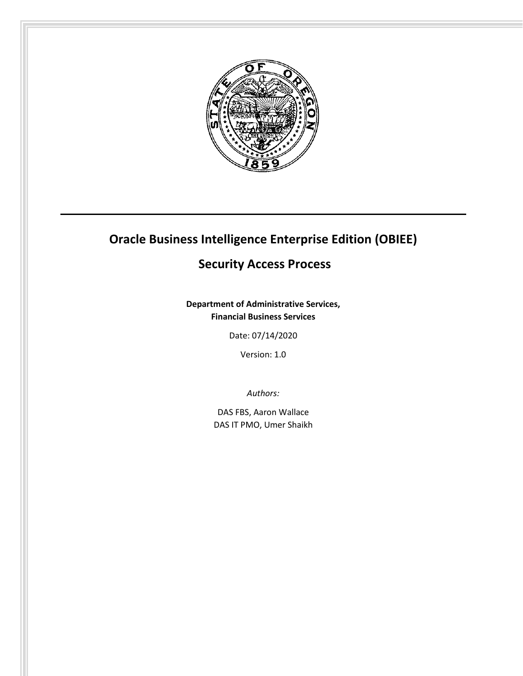

# **Oracle Business Intelligence Enterprise Edition (OBIEE)**

## **Security Access Process**

**Department of Administrative Services, Financial Business Services**

Date: 07/14/2020

Version: 1.0

*Authors:*

DAS FBS, Aaron Wallace DAS IT PMO, Umer Shaikh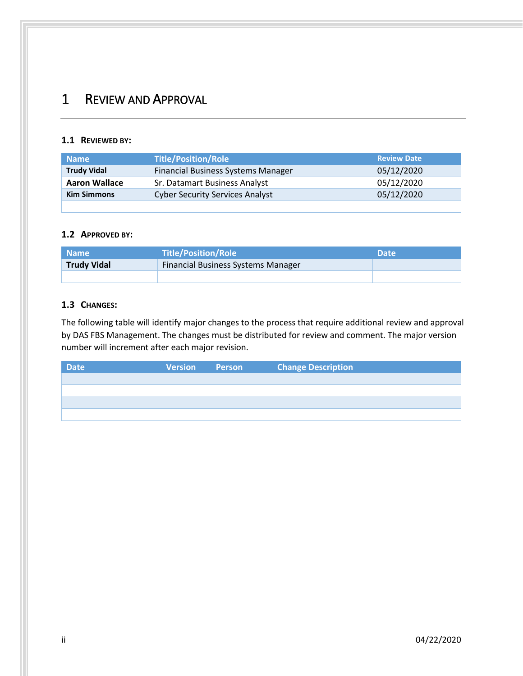# <span id="page-1-0"></span>1 REVIEW AND APPROVAL

### <span id="page-1-1"></span>**1.1 REVIEWED BY:**

| <b>Name</b>          | <b>Title/Position/Role</b>                | <b>Review Date</b> |
|----------------------|-------------------------------------------|--------------------|
| <b>Trudy Vidal</b>   | <b>Financial Business Systems Manager</b> | 05/12/2020         |
| <b>Aaron Wallace</b> | Sr. Datamart Business Analyst             | 05/12/2020         |
| <b>Kim Simmons</b>   | <b>Cyber Security Services Analyst</b>    | 05/12/2020         |
|                      |                                           |                    |

### <span id="page-1-2"></span>**1.2 APPROVED BY:**

| <b>Name</b>        | <b>Title/Position/Role</b>         | <b>Date</b> |
|--------------------|------------------------------------|-------------|
| <b>Trudy Vidal</b> | Financial Business Systems Manager |             |
|                    |                                    |             |

### <span id="page-1-3"></span>**1.3 CHANGES:**

The following table will identify major changes to the process that require additional review and approval by DAS FBS Management. The changes must be distributed for review and comment. The major version number will increment after each major revision.

| <b>Date</b> | <b>Version</b> Person | <b>Change Description</b> |
|-------------|-----------------------|---------------------------|
|             |                       |                           |
|             |                       |                           |
|             |                       |                           |
|             |                       |                           |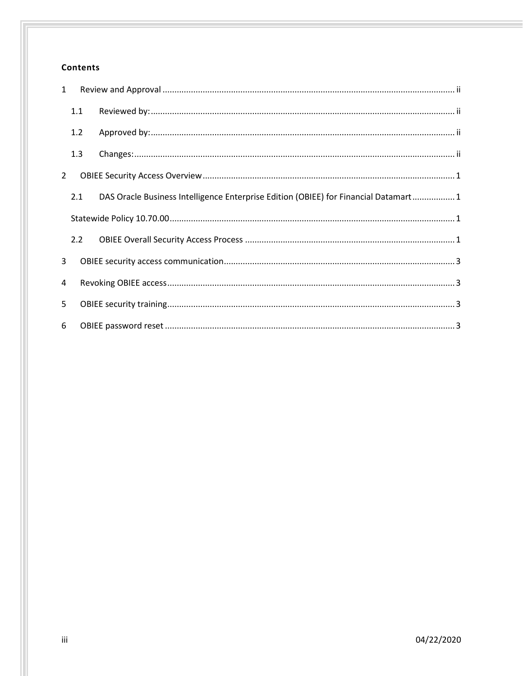## **Contents**

| $\mathbf{1}$ |     |                                                                                     |  |  |
|--------------|-----|-------------------------------------------------------------------------------------|--|--|
|              | 1.1 |                                                                                     |  |  |
|              | 1.2 |                                                                                     |  |  |
|              | 1.3 |                                                                                     |  |  |
| 2            |     |                                                                                     |  |  |
|              | 2.1 | DAS Oracle Business Intelligence Enterprise Edition (OBIEE) for Financial Datamart1 |  |  |
|              |     |                                                                                     |  |  |
|              | 2.2 |                                                                                     |  |  |
| 3            |     |                                                                                     |  |  |
| 4            |     |                                                                                     |  |  |
| 5            |     |                                                                                     |  |  |
| 6            |     |                                                                                     |  |  |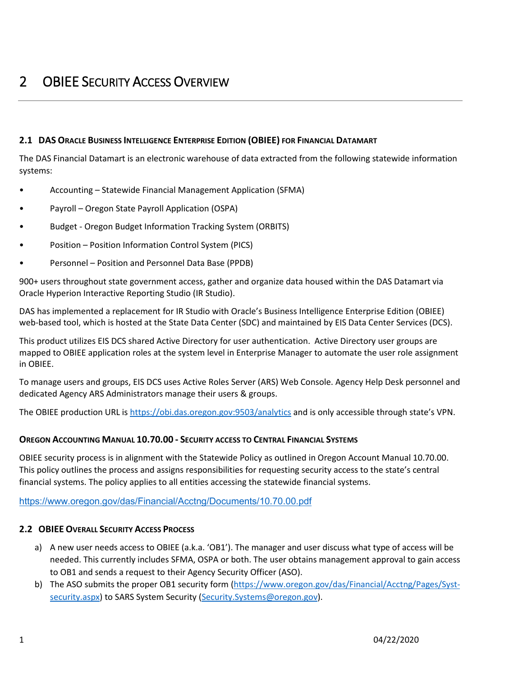### <span id="page-3-1"></span><span id="page-3-0"></span>**2.1 DAS ORACLE BUSINESS INTELLIGENCE ENTERPRISE EDITION (OBIEE) FOR FINANCIAL DATAMART**

The DAS Financial Datamart is an electronic warehouse of data extracted from the following statewide information systems:

- Accounting Statewide Financial Management Application (SFMA)
- Payroll Oregon State Payroll Application (OSPA)
- Budget Oregon Budget Information Tracking System (ORBITS)
- Position Position Information Control System (PICS)
- Personnel Position and Personnel Data Base (PPDB)

900+ users throughout state government access, gather and organize data housed within the DAS Datamart via Oracle Hyperion Interactive Reporting Studio (IR Studio).

DAS has implemented a replacement for IR Studio with Oracle's Business Intelligence Enterprise Edition (OBIEE) web-based tool, which is hosted at the State Data Center (SDC) and maintained by EIS Data Center Services (DCS).

This product utilizes EIS DCS shared Active Directory for user authentication. Active Directory user groups are mapped to OBIEE application roles at the system level in Enterprise Manager to automate the user role assignment in OBIEE.

To manage users and groups, EIS DCS uses Active Roles Server (ARS) Web Console. Agency Help Desk personnel and dedicated Agency ARS Administrators manage their users & groups.

The OBIEE production URL is <https://obi.das.oregon.gov:9503/analytics> and is only accessible through state's VPN.

### <span id="page-3-2"></span>**OREGON ACCOUNTING MANUAL 10.70.00 - SECURITY ACCESS TO CENTRAL FINANCIAL SYSTEMS**

OBIEE security process is in alignment with the Statewide Policy as outlined in Oregon Account Manual 10.70.00. This policy outlines the process and assigns responsibilities for requesting security access to the state's central financial systems. The policy applies to all entities accessing the statewide financial systems.

<https://www.oregon.gov/das/Financial/Acctng/Documents/10.70.00.pdf>

### <span id="page-3-3"></span>**2.2 OBIEE OVERALL SECURITY ACCESS PROCESS**

- a) A new user needs access to OBIEE (a.k.a. 'OB1'). The manager and user discuss what type of access will be needed. This currently includes SFMA, OSPA or both. The user obtains management approval to gain access to OB1 and sends a request to their Agency Security Officer (ASO).
- b) The ASO submits the proper OB1 security form [\(https://www.oregon.gov/das/Financial/Acctng/Pages/Syst](https://www.oregon.gov/das/Financial/Acctng/Pages/Syst-security.aspx)[security.aspx\)](https://www.oregon.gov/das/Financial/Acctng/Pages/Syst-security.aspx) to SARS System Security [\(Security.Systems@oregon.gov\)](mailto:Security.Systems@oregon.gov).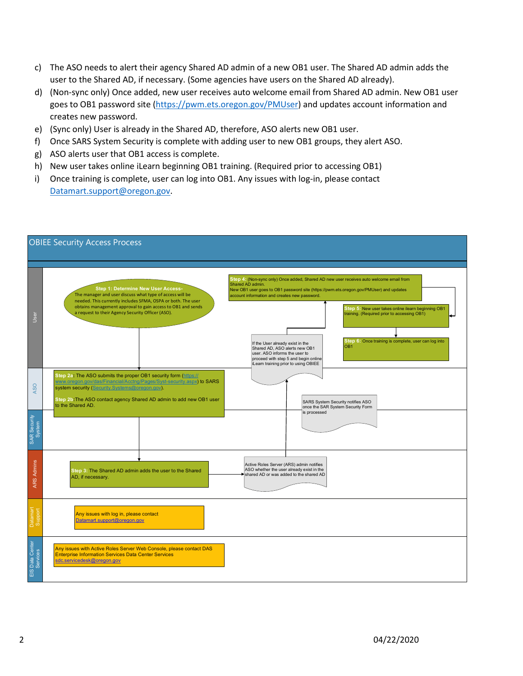- c) The ASO needs to alert their agency Shared AD admin of a new OB1 user. The Shared AD admin adds the user to the Shared AD, if necessary. (Some agencies have users on the Shared AD already).
- d) (Non-sync only) Once added, new user receives auto welcome email from Shared AD admin. New OB1 user goes to OB1 password site [\(https://pwm.ets.oregon.gov/PMUser\)](https://pwm.ets.oregon.gov/PMUser) and updates account information and creates new password.
- e) (Sync only) User is already in the Shared AD, therefore, ASO alerts new OB1 user.
- f) Once SARS System Security is complete with adding user to new OB1 groups, they alert ASO.
- g) ASO alerts user that OB1 access is complete.
- h) New user takes online iLearn beginning OB1 training. (Required prior to accessing OB1)
- i) Once training is complete, user can log into OB1. Any issues with log-in, please contact [Datamart.support@oregon.gov.](mailto:Datamart.support@oregon.gov)

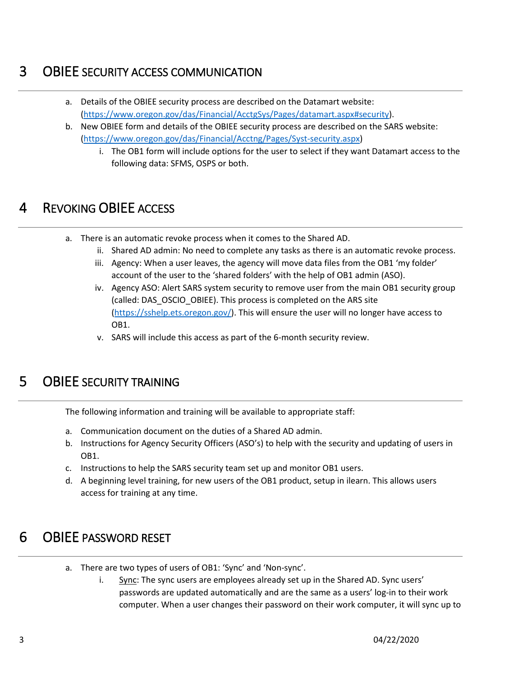## <span id="page-5-0"></span>3 OBIEE SECURITY ACCESS COMMUNICATION

- a. Details of the OBIEE security process are described on the Datamart website: [\(https://www.oregon.gov/das/Financial/AcctgSys/Pages/datamart.aspx#security\)](https://www.oregon.gov/das/Financial/AcctgSys/Pages/datamart.aspx#security).
- b. New OBIEE form and details of the OBIEE security process are described on the SARS website: [\(https://www.oregon.gov/das/Financial/Acctng/Pages/Syst-security.aspx\)](https://www.oregon.gov/das/Financial/Acctng/Pages/Syst-security.aspx)
	- i. The OB1 form will include options for the user to select if they want Datamart access to the following data: SFMS, OSPS or both.

# <span id="page-5-1"></span>4 REVOKING OBIEE ACCESS

- a. There is an automatic revoke process when it comes to the Shared AD.
	- ii. Shared AD admin: No need to complete any tasks as there is an automatic revoke process.
	- iii. Agency: When a user leaves, the agency will move data files from the OB1 'my folder' account of the user to the 'shared folders' with the help of OB1 admin (ASO).
	- iv. Agency ASO: Alert SARS system security to remove user from the main OB1 security group (called: DAS\_OSCIO\_OBIEE). This process is completed on the ARS site [\(https://sshelp.ets.oregon.gov/\)](https://sshelp.ets.oregon.gov/). This will ensure the user will no longer have access to OB1.
	- v. SARS will include this access as part of the 6-month security review.

# <span id="page-5-2"></span>5 OBIEE SECURITY TRAINING

The following information and training will be available to appropriate staff:

- a. Communication document on the duties of a Shared AD admin.
- b. Instructions for Agency Security Officers (ASO's) to help with the security and updating of users in OB1.
- c. Instructions to help the SARS security team set up and monitor OB1 users.
- d. A beginning level training, for new users of the OB1 product, setup in ilearn. This allows users access for training at any time.

## <span id="page-5-3"></span>6 OBIEE PASSWORD RESET

- a. There are two types of users of OB1: 'Sync' and 'Non-sync'.
	- i. Sync: The sync users are employees already set up in the Shared AD. Sync users' passwords are updated automatically and are the same as a users' log-in to their work computer. When a user changes their password on their work computer, it will sync up to